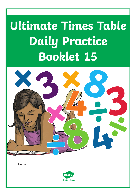# **Ultimate Times Table Daily Practice Booklet 15**

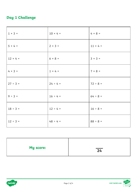## **Day 1 Challenge**

| $1 \times 3 =$  | $10 × 4 =$     | $4 \times 8 =$  |
|-----------------|----------------|-----------------|
| $5 \times 4 =$  | $2 \times 3 =$ | $11 \times 4 =$ |
| $12 \times 4 =$ | $6 × 8 =$      | $3 \times 3 =$  |
| $4 × 3 =$       | $1 \times 4 =$ | $7 × 8 =$       |
| $27 ÷ 3 =$      | $24 \div 4 =$  | $72 \div 8 =$   |
| $9 ÷ 3 =$       | $16 \div 4 =$  | $64 ÷ 8 =$      |
| $18 \div 3 =$   | $12 \div 4 =$  | $16 \div 8 =$   |
| $12 \div 3 =$   | $48 \div 4 =$  | $88 \div 8 =$   |

| <b>My score:</b> | $\overline{24}$ |
|------------------|-----------------|
|                  |                 |



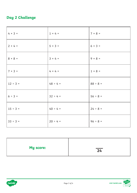## **Day 2 Challenge**

| $4 \times 3 =$ | $1 \times 4 =$ | $7 \times 8 =$ |
|----------------|----------------|----------------|
| $2 × 4 =$      | $5 \times 3 =$ | $6 × 3 =$      |
| $8 \times 8 =$ | $3 × 4 =$      | $9 \times 8 =$ |
| $7 \times 3 =$ | $4 \times 4 =$ | $1 \times 8 =$ |
| $12 \div 3 =$  | $48 \div 4 =$  | $88 ÷ 8 =$     |
| $6 ÷ 3 =$      | $32 \div 4 =$  | $56 ÷ 8 =$     |
| $15 \div 3 =$  | $40 \div 4 =$  | $24 ÷ 8 =$     |
| $33 ÷ 3 =$     | $20 \div 4 =$  | $96 ÷ 8 =$     |

| <b>My score:</b> | $\overline{24}$ |
|------------------|-----------------|
|                  |                 |



**visit twinkl.com**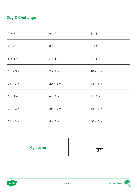## **Day 3 Challenge**

| $7 × 3 =$      | $4 \times 4 =$ | $1 \times 8 =$ |
|----------------|----------------|----------------|
| $2 \times 8 =$ | $8 \times 3 =$ | $5 \times 4 =$ |
| $6 × 4 =$      | $3 × 8 =$      | $9 \times 3 =$ |
| $10 × 3 =$     | $7 × 4 =$      | $10 × 8 =$     |
| $33 ÷ 3 =$     | $20 \div 4 =$  | $96 \div 8 =$  |
| $3 ÷ 3 =$      | $4 \div 4 =$   | $8 ÷ 8 =$      |
| $30 \div 3 =$  | $28 \div 4 =$  | $32 \div 8 =$  |
| $21 \div 3 =$  | $8 \div 4 =$   | $40 \div 8 =$  |

| My score: | $\overline{24}$ |
|-----------|-----------------|
|           |                 |



**visit twinkl.com**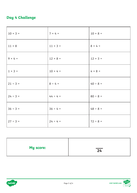### **Day 4 Challenge**

| $10 \times 3 =$ | $7 × 4 =$       | $10 × 8 =$      |
|-----------------|-----------------|-----------------|
| $11 \times 8$   | $11 \times 3 =$ | $8 \times 4 =$  |
| $9 \times 4 =$  | $12 \times 8 =$ | $12 \times 3 =$ |
| $1 \times 3 =$  | $10 × 4 =$      | $4 \times 8 =$  |
| $21 \div 3 =$   | $8 \div 4 =$    | $40 \div 8 =$   |
| $24 \div 3 =$   | $44 \div 4 =$   | $80 \div 8 =$   |
| $36 ÷ 3 =$      | $36 ÷ 4 =$      | $48 \div 8 =$   |
| $27 ÷ 3 =$      | $24 ÷ 4 =$      | $72 \div 8 =$   |

| <b>My score:</b> | $\overline{24}$ |
|------------------|-----------------|
|                  |                 |